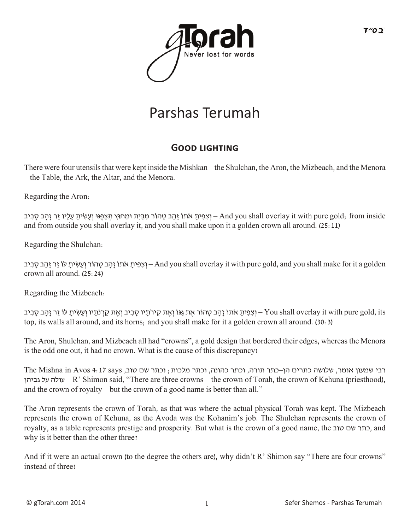

## Parshas Terumah

## **GOOD LIGHTING**

There were four utensils that were kept inside the Mishkan – the Shulchan, the Aron, the Mizbeach, and the Menora – the Table, the Ark, the Altar, and the Menora.

Regarding the Aron:

ון הַב טָהוֹר מִבְיִת וּמִחוּץ תִּצְפֵנּוּ וְעַשִׂיתַ עָלָיו זֶר זָהָב סָבִיב – And you shall overlay it with pure gold; from inside and from outside you shall overlay it, and you shall make upon it a golden crown all around. (25:11)

Regarding the Shulchan:

יִתְבָּ פָהוֹר וְעַשִׂיתָ לוֹ זֶר זָהָב סָבִיב — And you shall overlay it with pure gold, and you shall make for it a golden crown all around. (25:24)

Regarding the Mizbeach:

ץ וְ צִפִּית אֹתוֹ זָהָב טָהוֹר אֶת גַּגּוֹ וְאֶת קִירֹתַיו סַבְיב וְאֶת קָרְנֹתַיו וְעַשִׂיתָ לוֹ זֵר זַהָּב סָבִיב – You shall overlay it with pure gold, its top, its walls all around, and its horns; and you shall make for it a golden crown all around. (30:3)

The Aron, Shulchan, and Mizbeach all had "crowns", a gold design that bordered their edges, whereas the Menora is the odd one out, it had no crown. What is the cause of this discrepancy?

רבי שמעון אומר, שלושה כתרים הן–כתר תורה, וכתר כהונה, וכתר מלכות; וכתר שם טוב, says 4:17 Avos in Mishna The עלה על גביהן – R' Shimon said, "There are three crowns – the crown of Torah, the crown of Kehuna (priesthood), and the crown of royalty – but the crown of a good name is better than all."

The Aron represents the crown of Torah, as that was where the actual physical Torah was kept. The Mizbeach represents the crown of Kehuna, as the Avoda was the Kohanim's job. The Shulchan represents the crown of royalty, as a table represents prestige and prosperity. But what is the crown of a good name, the כתר שם טוב, why is it better than the other three?

And if it were an actual crown (to the degree the others are), why didn't R' Shimon say "There are four crowns" instead of three?